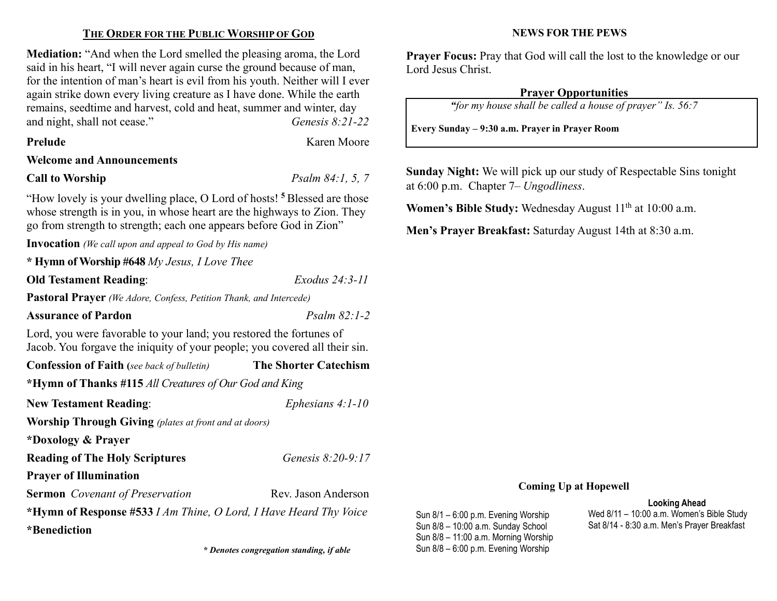## THE ORDER FOR THE PUBLIC WORSHIP OF GOD

Mediation: "And when the Lord smelled the pleasing aroma, the Lord said in his heart, "I will never again curse the ground because of man, for the intention of man's heart is evil from his youth. Neither will I ever again strike down every living creature as I have done. While the earth remains, seedtime and harvest, cold and heat, summer and winter, day and night, shall not cease." Genesis 8:21-22

Karen Moore

## Welcome and Announcements

#### Call to Worship  $Psalm 84:1, 5, 7$

"How lovely is your dwelling place, O Lord of hosts! <sup>5</sup> Blessed are those whose strength is in you, in whose heart are the highways to Zion. They go from strength to strength; each one appears before God in Zion"

Invocation (We call upon and appeal to God by His name)

| * Hymn of Worship #648 My Jesus, I Love Thee                                                                                                      |                              |  |  |  |
|---------------------------------------------------------------------------------------------------------------------------------------------------|------------------------------|--|--|--|
| <b>Old Testament Reading:</b>                                                                                                                     | Exodus 24:3-11               |  |  |  |
| <b>Pastoral Prayer</b> (We Adore, Confess, Petition Thank, and Intercede)                                                                         |                              |  |  |  |
| <b>Assurance of Pardon</b>                                                                                                                        | $Psalm 82:1-2$               |  |  |  |
| Lord, you were favorable to your land; you restored the fortunes of<br>Jacob. You forgave the iniquity of your people; you covered all their sin. |                              |  |  |  |
| <b>Confession of Faith</b> (see back of bulletin)                                                                                                 | <b>The Shorter Catechism</b> |  |  |  |
| *Hymn of Thanks #115 All Creatures of Our God and King                                                                                            |                              |  |  |  |
| <b>New Testament Reading:</b>                                                                                                                     | Ephesians $4:1-10$           |  |  |  |
| <b>Worship Through Giving</b> (plates at front and at doors)                                                                                      |                              |  |  |  |
| *Doxology & Prayer                                                                                                                                |                              |  |  |  |
| <b>Reading of The Holy Scriptures</b>                                                                                                             | Genesis 8:20-9:17            |  |  |  |
| <b>Prayer of Illumination</b>                                                                                                                     |                              |  |  |  |
| <b>Sermon</b> Covenant of Preservation                                                                                                            | Rev. Jason Anderson          |  |  |  |
| *Hymn of Response #533 I Am Thine, O Lord, I Have Heard Thy Voice                                                                                 |                              |  |  |  |
| *Renediction                                                                                                                                      |                              |  |  |  |

\* Denotes congregation standing, if able Sun 8/8 – 6:00 p.m. Evening Worship

#### NEWS FOR THE PEWS

Prayer Focus: Pray that God will call the lost to the knowledge or our Lord Jesus Christ.

## Prayer Opportunities

"for my house shall be called a house of prayer" Is. 56:7

Every Sunday – 9:30 a.m. Prayer in Prayer Room

Sunday Night: We will pick up our study of Respectable Sins tonight at 6:00 p.m. Chapter 7– Ungodliness.

**Women's Bible Study:** Wednesday August  $11<sup>th</sup>$  at  $10:00$  a.m.

Men's Prayer Breakfast: Saturday August 14th at 8:30 a.m.

## Coming Up at Hopewell

Sun 8/1 – 6:00 p.m. Evening Worship Sun 8/8 – 10:00 a.m. Sunday School Sun 8/8 – 11:00 a.m. Morning Worship

## Looking Ahead

Wed 8/11 – 10:00 a.m. Women's Bible Study Sat 8/14 - 8:30 a.m. Men's Prayer Breakfast